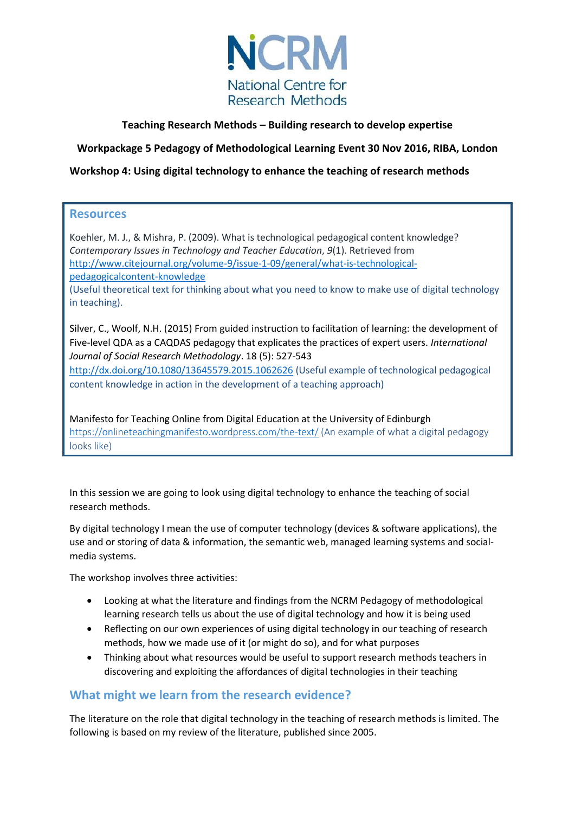

# **Teaching Research Methods – Building research to develop expertise**

# **Workpackage 5 Pedagogy of Methodological Learning Event 30 Nov 2016, RIBA, London**

# **Workshop 4: Using digital technology to enhance the teaching of research methods**

# **Resources**

Koehler, M. J., & Mishra, P. (2009). What is technological pedagogical content knowledge? *Contemporary Issues in Technology and Teacher Education*, *9*(1). Retrieved from [http://www.citejournal.org/volume-9/issue-1-09/general/what-is-technological](http://www.citejournal.org/volume-9/issue-1-09/general/what-is-technological-pedagogicalcontent-knowledge)[pedagogicalcontent-knowledge](http://www.citejournal.org/volume-9/issue-1-09/general/what-is-technological-pedagogicalcontent-knowledge)

(Useful theoretical text for thinking about what you need to know to make use of digital technology in teaching).

Silver, C., Woolf, N.H. (2015) From guided instruction to facilitation of learning: the development of Five-level QDA as a CAQDAS pedagogy that explicates the practices of expert users. *International Journal of Social Research Methodology*. 18 (5): 527-543

<http://dx.doi.org/10.1080/13645579.2015.1062626> (Useful example of technological pedagogical content knowledge in action in the development of a teaching approach)

Manifesto for Teaching Online from Digital Education at the University of Edinburgh <https://onlineteachingmanifesto.wordpress.com/the-text/> (An example of what a digital pedagogy looks like)

In this session we are going to look using digital technology to enhance the teaching of social research methods.

By digital technology I mean the use of computer technology (devices & software applications), the use and or storing of data & information, the semantic web, managed learning systems and socialmedia systems.

The workshop involves three activities:

- Looking at what the literature and findings from the NCRM Pedagogy of methodological learning research tells us about the use of digital technology and how it is being used
- Reflecting on our own experiences of using digital technology in our teaching of research methods, how we made use of it (or might do so), and for what purposes
- Thinking about what resources would be useful to support research methods teachers in discovering and exploiting the affordances of digital technologies in their teaching

# **What might we learn from the research evidence?**

The literature on the role that digital technology in the teaching of research methods is limited. The following is based on my review of the literature, published since 2005.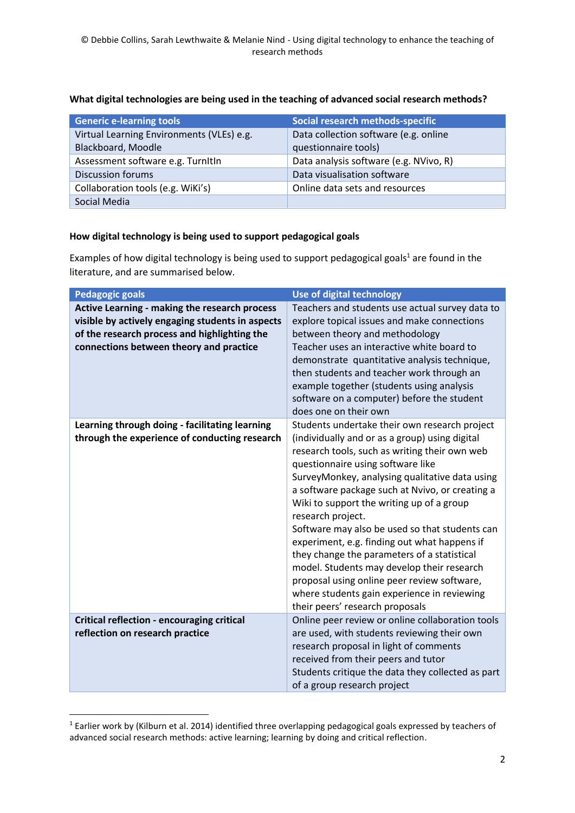| <b>Generic e-learning tools</b>           | Social research methods-specific       |
|-------------------------------------------|----------------------------------------|
| Virtual Learning Environments (VLEs) e.g. | Data collection software (e.g. online  |
| Blackboard, Moodle                        | questionnaire tools)                   |
| Assessment software e.g. Turnitin         | Data analysis software (e.g. NVivo, R) |
| <b>Discussion forums</b>                  | Data visualisation software            |
| Collaboration tools (e.g. WiKi's)         | Online data sets and resources         |
| Social Media                              |                                        |

# **What digital technologies are being used in the teaching of advanced social research methods?**

### **How digital technology is being used to support pedagogical goals**

Examples of how digital technology is being used to support pedagogical goals<sup>1</sup> are found in the literature, and are summarised below.

| <b>Pedagogic goals</b>                                                                                                                                                                       | Use of digital technology                                                                                                                                                                                                                                                                                                                                                                                                                                                                                                                                                                                                                                                                    |
|----------------------------------------------------------------------------------------------------------------------------------------------------------------------------------------------|----------------------------------------------------------------------------------------------------------------------------------------------------------------------------------------------------------------------------------------------------------------------------------------------------------------------------------------------------------------------------------------------------------------------------------------------------------------------------------------------------------------------------------------------------------------------------------------------------------------------------------------------------------------------------------------------|
| Active Learning - making the research process<br>visible by actively engaging students in aspects<br>of the research process and highlighting the<br>connections between theory and practice | Teachers and students use actual survey data to<br>explore topical issues and make connections<br>between theory and methodology<br>Teacher uses an interactive white board to<br>demonstrate quantitative analysis technique,<br>then students and teacher work through an<br>example together (students using analysis<br>software on a computer) before the student<br>does one on their own                                                                                                                                                                                                                                                                                              |
| Learning through doing - facilitating learning<br>through the experience of conducting research                                                                                              | Students undertake their own research project<br>(individually and or as a group) using digital<br>research tools, such as writing their own web<br>questionnaire using software like<br>SurveyMonkey, analysing qualitative data using<br>a software package such at Nvivo, or creating a<br>Wiki to support the writing up of a group<br>research project.<br>Software may also be used so that students can<br>experiment, e.g. finding out what happens if<br>they change the parameters of a statistical<br>model. Students may develop their research<br>proposal using online peer review software,<br>where students gain experience in reviewing<br>their peers' research proposals |
| Critical reflection - encouraging critical<br>reflection on research practice                                                                                                                | Online peer review or online collaboration tools<br>are used, with students reviewing their own<br>research proposal in light of comments<br>received from their peers and tutor<br>Students critique the data they collected as part<br>of a group research project                                                                                                                                                                                                                                                                                                                                                                                                                         |

<sup>1</sup> Earlier work by (Kilburn et al. 2014) identified three overlapping pedagogical goals expressed by teachers of advanced social research methods: active learning; learning by doing and critical reflection.

**.**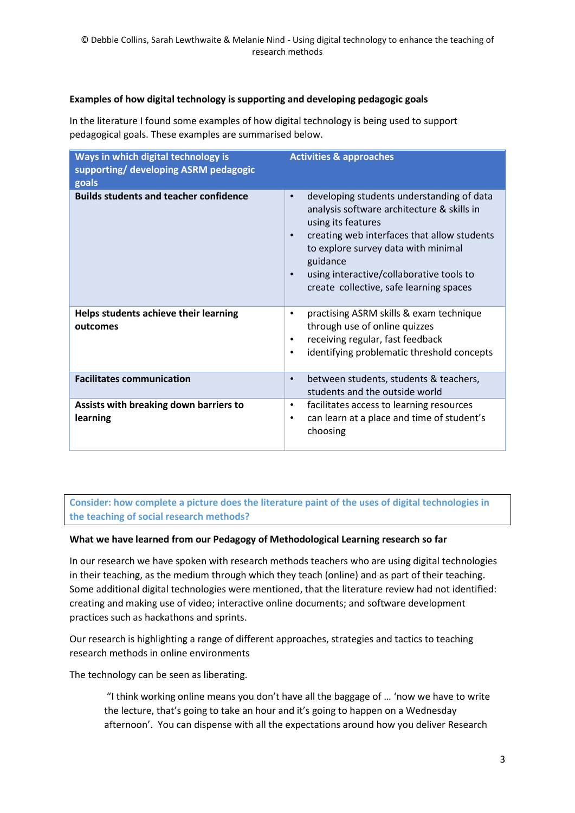### **Examples of how digital technology is supporting and developing pedagogic goals**

In the literature I found some examples of how digital technology is being used to support pedagogical goals. These examples are summarised below.

| Ways in which digital technology is<br>supporting/ developing ASRM pedagogic<br>goals | <b>Activities &amp; approaches</b>                                                                                                                                                                                                                                                                                                            |
|---------------------------------------------------------------------------------------|-----------------------------------------------------------------------------------------------------------------------------------------------------------------------------------------------------------------------------------------------------------------------------------------------------------------------------------------------|
| <b>Builds students and teacher confidence</b>                                         | developing students understanding of data<br>$\bullet$<br>analysis software architecture & skills in<br>using its features<br>creating web interfaces that allow students<br>$\bullet$<br>to explore survey data with minimal<br>guidance<br>using interactive/collaborative tools to<br>$\bullet$<br>create collective, safe learning spaces |
| Helps students achieve their learning<br>outcomes                                     | practising ASRM skills & exam technique<br>٠<br>through use of online quizzes<br>receiving regular, fast feedback<br>٠<br>identifying problematic threshold concepts<br>$\bullet$                                                                                                                                                             |
| <b>Facilitates communication</b>                                                      | between students, students & teachers,<br>$\bullet$<br>students and the outside world                                                                                                                                                                                                                                                         |
| Assists with breaking down barriers to<br>learning                                    | facilitates access to learning resources<br>٠<br>can learn at a place and time of student's<br>$\bullet$<br>choosing                                                                                                                                                                                                                          |

**Consider: how complete a picture does the literature paint of the uses of digital technologies in the teaching of social research methods?**

### **What we have learned from our Pedagogy of Methodological Learning research so far**

In our research we have spoken with research methods teachers who are using digital technologies in their teaching, as the medium through which they teach (online) and as part of their teaching. Some additional digital technologies were mentioned, that the literature review had not identified: creating and making use of video; interactive online documents; and software development practices such as hackathons and sprints.

Our research is highlighting a range of different approaches, strategies and tactics to teaching research methods in online environments

The technology can be seen as liberating.

"I think working online means you don't have all the baggage of … 'now we have to write the lecture, that's going to take an hour and it's going to happen on a Wednesday afternoon'. You can dispense with all the expectations around how you deliver Research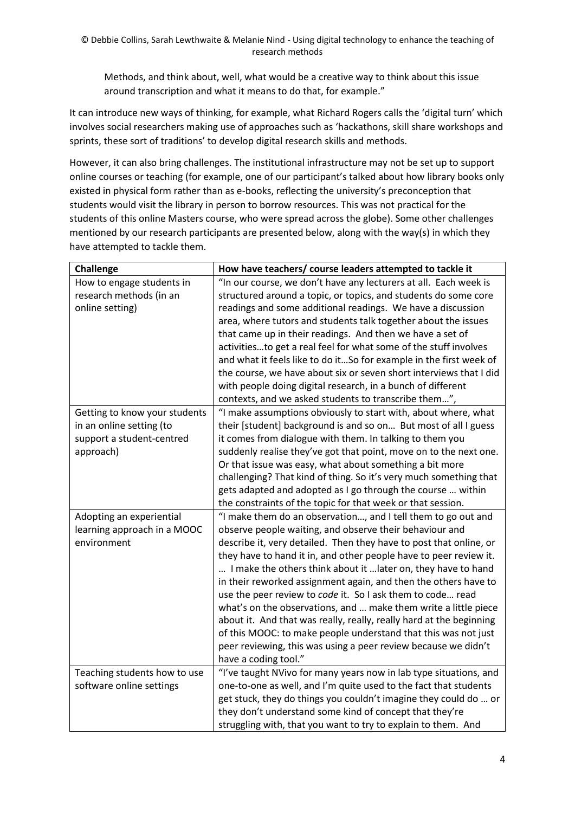Methods, and think about, well, what would be a creative way to think about this issue around transcription and what it means to do that, for example."

It can introduce new ways of thinking, for example, what Richard Rogers calls the 'digital turn' which involves social researchers making use of approaches such as 'hackathons, skill share workshops and sprints, these sort of traditions' to develop digital research skills and methods.

However, it can also bring challenges. The institutional infrastructure may not be set up to support online courses or teaching (for example, one of our participant's talked about how library books only existed in physical form rather than as e-books, reflecting the university's preconception that students would visit the library in person to borrow resources. This was not practical for the students of this online Masters course, who were spread across the globe). Some other challenges mentioned by our research participants are presented below, along with the way(s) in which they have attempted to tackle them.

| <b>Challenge</b>              | How have teachers/ course leaders attempted to tackle it            |
|-------------------------------|---------------------------------------------------------------------|
| How to engage students in     | "In our course, we don't have any lecturers at all. Each week is    |
| research methods (in an       | structured around a topic, or topics, and students do some core     |
| online setting)               | readings and some additional readings. We have a discussion         |
|                               | area, where tutors and students talk together about the issues      |
|                               | that came up in their readings. And then we have a set of           |
|                               | activitiesto get a real feel for what some of the stuff involves    |
|                               | and what it feels like to do itSo for example in the first week of  |
|                               | the course, we have about six or seven short interviews that I did  |
|                               | with people doing digital research, in a bunch of different         |
|                               | contexts, and we asked students to transcribe them",                |
| Getting to know your students | "I make assumptions obviously to start with, about where, what      |
| in an online setting (to      | their [student] background is and so on But most of all I guess     |
| support a student-centred     | it comes from dialogue with them. In talking to them you            |
| approach)                     | suddenly realise they've got that point, move on to the next one.   |
|                               | Or that issue was easy, what about something a bit more             |
|                               | challenging? That kind of thing. So it's very much something that   |
|                               | gets adapted and adopted as I go through the course  within         |
|                               | the constraints of the topic for that week or that session.         |
| Adopting an experiential      | "I make them do an observation, and I tell them to go out and       |
| learning approach in a MOOC   | observe people waiting, and observe their behaviour and             |
| environment                   | describe it, very detailed. Then they have to post that online, or  |
|                               | they have to hand it in, and other people have to peer review it.   |
|                               | I make the others think about it  later on, they have to hand       |
|                               | in their reworked assignment again, and then the others have to     |
|                               | use the peer review to code it. So I ask them to code read          |
|                               | what's on the observations, and  make them write a little piece     |
|                               | about it. And that was really, really, really hard at the beginning |
|                               | of this MOOC: to make people understand that this was not just      |
|                               | peer reviewing, this was using a peer review because we didn't      |
|                               | have a coding tool."                                                |
| Teaching students how to use  | "I've taught NVivo for many years now in lab type situations, and   |
| software online settings      | one-to-one as well, and I'm quite used to the fact that students    |
|                               | get stuck, they do things you couldn't imagine they could do  or    |
|                               | they don't understand some kind of concept that they're             |
|                               | struggling with, that you want to try to explain to them. And       |